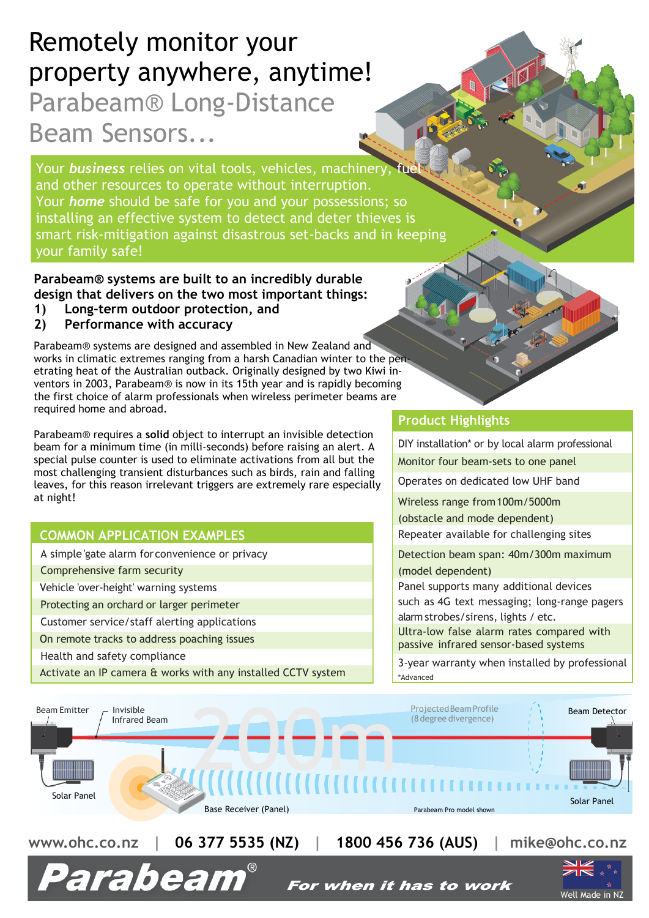# Remotely monitor your property anywhere, anytime! Parabeam® Long-Distance Beam Sensors...

Your **business** relies on vital tools, vehicles, machinery, fue and other resources to operate without interruption. Your *home* should be safe for you and your possessions; so installing an effective system to detect and deter thieves is smart risk-mitigation against disastrous set-backs and in keeping your family safe!

#### **Parabeam® systems are built to an incredibly durable design that delivers on the two most important things:**

- **1) Long-term outdoor protection, and**
- **2) Performance with accuracy**

Parabeam® systems are designed and assembled in New Zealand and works in climatic extremes ranging from a harsh Canadian winter to the penetrating heat of the Australian outback. Originally designed by two Kiwi inventors in 2003, Parabeam® is now in its 15th year and is rapidly becoming the first choice of alarm professionals when wireless perimeter beams are required home and abroad.

Parabeam® requires a **solid** object to interrupt an invisible detection beam for a minimum time (in milli-seconds) before raising an alert. A special pulse counter is used to eliminate activations from all but the most challenging transient disturbances such as birds, rain and falling leaves, for this reason irrelevant triggers are extremely rare especially at night!

### **COMMON APPLICATION EXAMPLES**

A simple 'gate alarm forconvenience or privacy

Comprehensive farm security

Vehicle 'over-height' warning systems

Protecting an orchard or larger perimeter

Customer service/staff alerting applications

On remote tracks to address poaching issues

Health and safety compliance

Activate an IP camera & works with any installed CCTV system

### **Product Highlights**

10

DIY installation\* or by local alarm professional Monitor four beam-sets to one panel

Operates on dedicated low UHF band

Wireless range from100m/5000m

(obstacle and mode dependent)

Repeater available for challenging sites

Detection beam span: 40m/300m maximum (model dependent)

Panel supports many additional devices such as 4G text messaging; long-range pagers alarm strobes/sirens, lights / etc.

Ultra-low false alarm rates compared with passive infrared sensor-based systems

3-year warranty when installed by professional \*Advanced